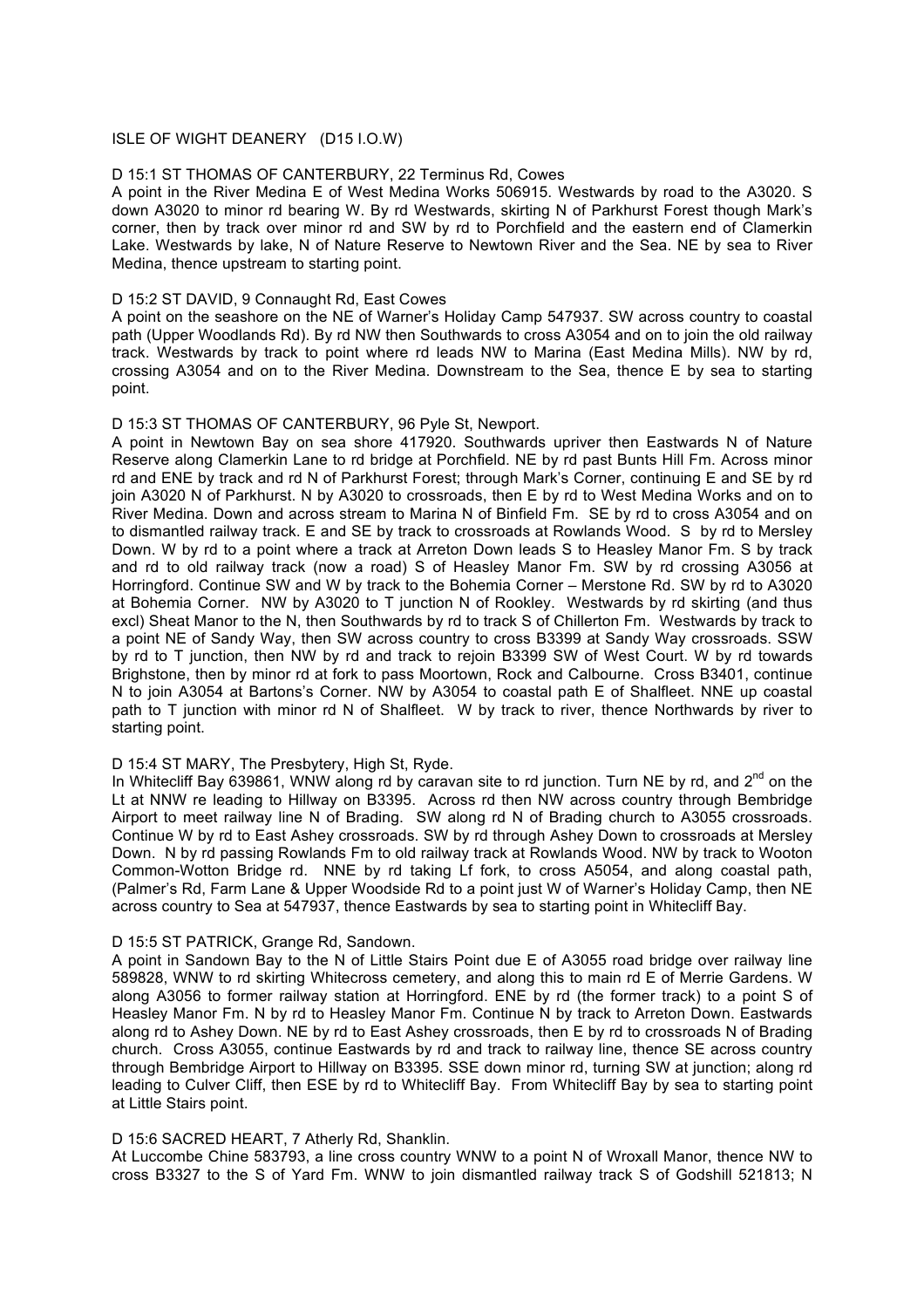## ISLE OF WIGHT DEANERY (D15 I.O.W)

#### D 15:1 ST THOMAS OF CANTERBURY, 22 Terminus Rd, Cowes

A point in the River Medina E of West Medina Works 506915. Westwards by road to the A3020. S down A3020 to minor rd bearing W. By rd Westwards, skirting N of Parkhurst Forest though Mark's corner, then by track over minor rd and SW by rd to Porchfield and the eastern end of Clamerkin Lake. Westwards by lake, N of Nature Reserve to Newtown River and the Sea. NE by sea to River Medina, thence upstream to starting point.

#### D 15:2 ST DAVID, 9 Connaught Rd, East Cowes

A point on the seashore on the NE of Warner's Holiday Camp 547937. SW across country to coastal path (Upper Woodlands Rd). By rd NW then Southwards to cross A3054 and on to join the old railway track. Westwards by track to point where rd leads NW to Marina (East Medina Mills). NW by rd, crossing A3054 and on to the River Medina. Downstream to the Sea, thence E by sea to starting point.

# D 15:3 ST THOMAS OF CANTERBURY, 96 Pyle St, Newport.

A point in Newtown Bay on sea shore 417920. Southwards upriver then Eastwards N of Nature Reserve along Clamerkin Lane to rd bridge at Porchfield. NE by rd past Bunts Hill Fm. Across minor rd and ENE by track and rd N of Parkhurst Forest; through Mark's Corner, continuing E and SE by rd join A3020 N of Parkhurst. N by A3020 to crossroads, then E by rd to West Medina Works and on to River Medina. Down and across stream to Marina N of Binfield Fm. SE by rd to cross A3054 and on to dismantled railway track. E and SE by track to crossroads at Rowlands Wood. S by rd to Mersley Down. W by rd to a point where a track at Arreton Down leads S to Heasley Manor Fm. S by track and rd to old railway track (now a road) S of Heasley Manor Fm. SW by rd crossing A3056 at Horringford. Continue SW and W by track to the Bohemia Corner – Merstone Rd. SW by rd to A3020 at Bohemia Corner. NW by A3020 to T junction N of Rookley. Westwards by rd skirting (and thus excl) Sheat Manor to the N, then Southwards by rd to track S of Chillerton Fm. Westwards by track to a point NE of Sandy Way, then SW across country to cross B3399 at Sandy Way crossroads. SSW by rd to T junction, then NW by rd and track to rejoin B3399 SW of West Court. W by rd towards Brighstone, then by minor rd at fork to pass Moortown, Rock and Calbourne. Cross B3401, continue N to join A3054 at Bartons's Corner. NW by A3054 to coastal path E of Shalfleet. NNE up coastal path to T junction with minor rd N of Shalfleet. W by track to river, thence Northwards by river to starting point.

## D 15:4 ST MARY, The Presbytery, High St, Ryde.

In Whitecliff Bay 639861, WNW along rd by caravan site to rd junction. Turn NE by rd, and 2<sup>nd</sup> on the Lt at NNW re leading to Hillway on B3395. Across rd then NW across country through Bembridge Airport to meet railway line N of Brading. SW along rd N of Brading church to A3055 crossroads. Continue W by rd to East Ashey crossroads. SW by rd through Ashey Down to crossroads at Mersley Down. N by rd passing Rowlands Fm to old railway track at Rowlands Wood. NW by track to Wooton Common-Wotton Bridge rd. NNE by rd taking Lf fork, to cross A5054, and along coastal path, (Palmer's Rd, Farm Lane & Upper Woodside Rd to a point just W of Warner's Holiday Camp, then NE across country to Sea at 547937, thence Eastwards by sea to starting point in Whitecliff Bay.

#### D 15:5 ST PATRICK, Grange Rd, Sandown.

A point in Sandown Bay to the N of Little Stairs Point due E of A3055 road bridge over railway line 589828, WNW to rd skirting Whitecross cemetery, and along this to main rd E of Merrie Gardens. W along A3056 to former railway station at Horringford. ENE by rd (the former track) to a point S of Heasley Manor Fm. N by rd to Heasley Manor Fm. Continue N by track to Arreton Down. Eastwards along rd to Ashey Down. NE by rd to East Ashey crossroads, then E by rd to crossroads N of Brading church. Cross A3055, continue Eastwards by rd and track to railway line, thence SE across country through Bembridge Airport to Hillway on B3395. SSE down minor rd, turning SW at junction; along rd leading to Culver Cliff, then ESE by rd to Whitecliff Bay. From Whitecliff Bay by sea to starting point at Little Stairs point.

#### D 15:6 SACRED HEART, 7 Atherly Rd, Shanklin.

At Luccombe Chine 583793, a line cross country WNW to a point N of Wroxall Manor, thence NW to cross B3327 to the S of Yard Fm. WNW to join dismantled railway track S of Godshill 521813; N